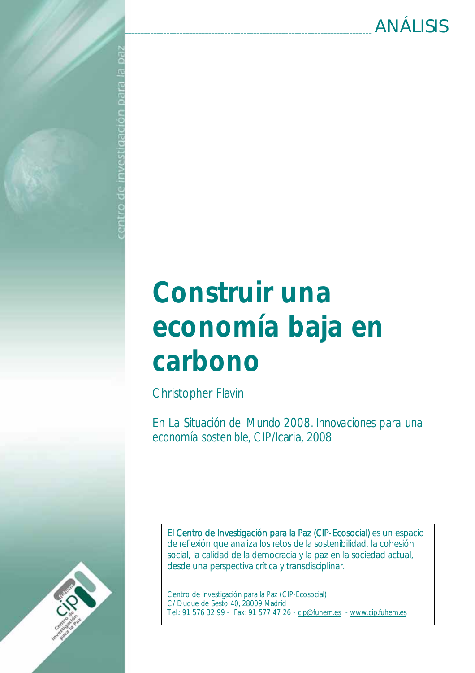# Construir una economía baja en carbono

Christopher Flavin

ed el eleg ugipepilisanui ap o.

En *La Situación del Mundo 2008. Innovaciones para una economía sostenible,* CIP/Icaria, 2008

El Centro de Investigación para la Paz (CIP-Ecosocial) es un espacio de reflexión que analiza los retos de la sostenibilidad, la cohesión social, la calidad de la democracia y la paz en la sociedad actual, desde una perspectiva crítica y transdisciplinar.

Centro de Investigación para la Paz (CIP-Ecosocial) C/ Duque de Sesto 40, 28009 Madrid Tel.: 91 576 32 99 - Fax: 91 577 47 26 - cip@fuhem.es - www.cip.fuhem.es

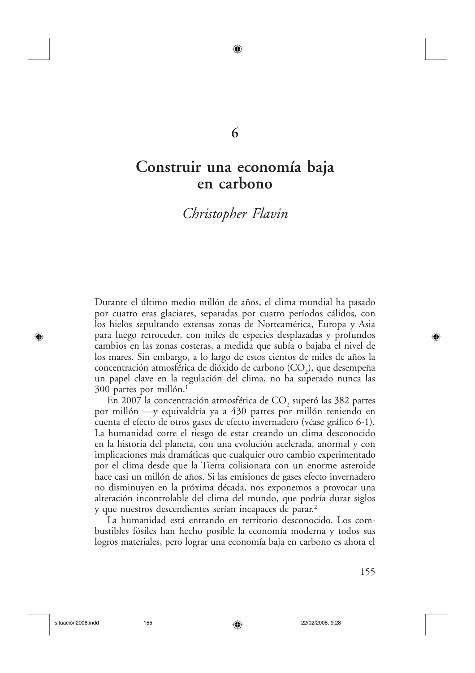### 6

◉

## Construir una economía baja en carbono

## Christopher Flavin

Durante el último medio millón de años, el clima mundial ha pasado por cuatro eras glaciares, separadas por cuatro períodos cálidos, con los hielos sepultando extensas zonas de Norteamérica, Europa y Asia para luego retroceder, con miles de especies desplazadas y profundos cambios en las zonas costeras, a medida que subía o bajaba el nivel de los mares. Sin embargo, a lo largo de estos cientos de miles de años la concentración atmosférica de dióxido de carbono  $(CO_2)$ , que desempeña un papel clave en la regulación del clima, no ha superado nunca las 300 partes por millón.<sup>1</sup>

En 2007 la concentración atmosférica de CO<sub>2</sub> superó las 382 partes por millón - y equivaldría ya a 430 partes por millón teniendo en cuenta el efecto de otros gases de efecto invernadero (véase gráfico 6-1). La humanidad corre el riesgo de estar creando un clima desconocido en la historia del planeta, con una evolución acelerada, anormal y con implicaciones más dramáticas que cualquier otro cambio experimentado por el clima desde que la Tierra colisionara con un enorme asteroide hace casi un millón de años. Si las emisiones de gases efecto invernadero no disminuyen en la próxima década, nos exponemos a provocar una alteración incontrolable del clima del mundo, que podría durar siglos y que nuestros descendientes serían incapaces de parar.<sup>2</sup>

La humanidad está entrando en territorio desconocido. Los combustibles fósiles han hecho posible la economía moderna y todos sus logros materiales, pero lograr una economía baja en carbono es ahora el

⊕

155

◈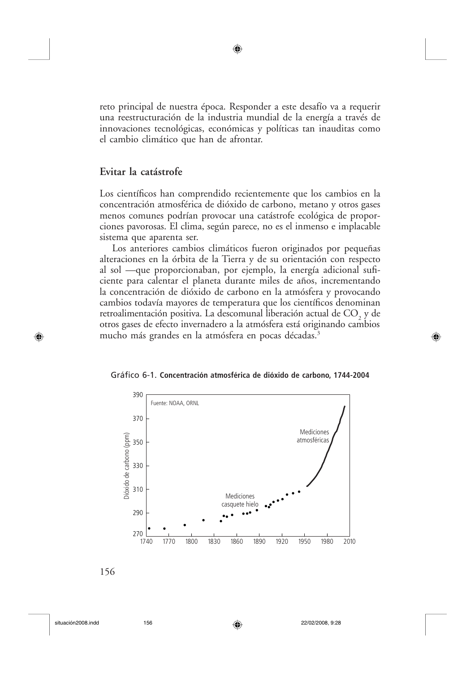reto principal de nuestra época. Responder a este desafío va a requerir una reestructuración de la industria mundial de la energía a través de innovaciones tecnológicas, económicas y políticas tan inauditas como el cambio climático que han de afrontar.

◉

#### Evitar la catástrofe

Los científicos han comprendido recientemente que los cambios en la concentración atmosférica de dióxido de carbono, metano y otros gases menos comunes podrían provocar una catástrofe ecológica de proporciones pavorosas. El clima, según parece, no es el inmenso e implacable sistema que aparenta ser.

Los anteriores cambios climáticos fueron originados por pequeñas alteraciones en la órbita de la Tierra y de su orientación con respecto al sol —que proporcionaban, por ejemplo, la energía adicional suficiente para calentar el planeta durante miles de años, incrementando la concentración de dióxido de carbono en la atmósfera y provocando cambios todavía mayores de temperatura que los científicos denominan retroalimentación positiva. La descomunal liberación actual de  $CO<sub>2</sub>$  y de otros gases de efecto invernadero a la atmósfera está originando cambios mucho más grandes en la atmósfera en pocas décadas.<sup>3</sup>





◈

situación2008.indd

⊕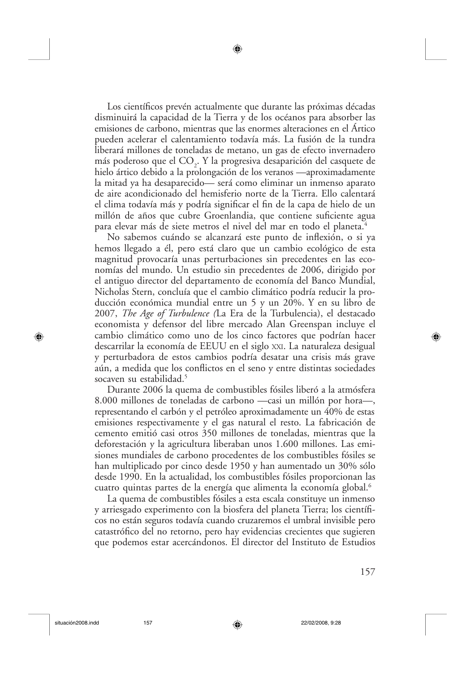Los científicos prevén actualmente que durante las próximas décadas disminuirá la capacidad de la Tierra y de los océanos para absorber las emisiones de carbono, mientras que las enormes alteraciones en el Ártico pueden acelerar el calentamiento todavía más. La fusión de la tundra liberará millones de toneladas de metano, un gas de efecto invernadero más poderoso que el CO<sub>2</sub>. Y la progresiva desaparición del casquete de hielo ártico debido a la prolongación de los veranos —aproximadamente la mitad ya ha desaparecido— será como eliminar un inmenso aparato de aire acondicionado del hemisferio norte de la Tierra. Ello calentará el clima todavía más y podría significar el fin de la capa de hielo de un millón de años que cubre Groenlandia, que contiene suficiente agua para elevar más de siete metros el nivel del mar en todo el planeta.<sup>4</sup>

No sabemos cuándo se alcanzará este punto de inflexión, o si ya hemos llegado a él, pero está claro que un cambio ecológico de esta magnitud provocaría unas perturbaciones sin precedentes en las economías del mundo. Un estudio sin precedentes de 2006, dirigido por el antiguo director del departamento de economía del Banco Mundial, Nicholas Stern, concluía que el cambio climático podría reducir la producción económica mundial entre un 5 y un 20%. Y en su libro de 2007, *The Age of Turbulence* (La Era de la Turbulencia), el destacado economista y defensor del libre mercado Alan Greenspan incluye el cambio climático como uno de los cinco factores que podrían hacer descarrilar la economía de EEUU en el siglo XXI. La naturaleza desigual y perturbadora de estos cambios podría desatar una crisis más grave aún, a medida que los conflictos en el seno y entre distintas sociedades socaven su estabilidad.<sup>5</sup>

Durante 2006 la quema de combustibles fósiles liberó a la atmósfera 8.000 millones de toneladas de carbono —casi un millón por hora—, representando el carbón y el petróleo aproximadamente un 40% de estas emisiones respectivamente y el gas natural el resto. La fabricación de cemento emitió casi otros 350 millones de toneladas, mientras que la deforestación y la agricultura liberaban unos 1.600 millones. Las emisiones mundiales de carbono procedentes de los combustibles fósiles se han multiplicado por cinco desde 1950 y han aumentado un 30% sólo desde 1990. En la actualidad, los combustibles fósiles proporcionan las cuatro quintas partes de la energía que alimenta la economía global.<sup>6</sup>

La quema de combustibles fósiles a esta escala constituye un inmenso y arriesgado experimento con la biosfera del planeta Tierra; los científicos no están seguros todavía cuando cruzaremos el umbral invisible pero catastrófico del no retorno, pero hay evidencias crecientes que sugieren que podemos estar acercándonos. El director del Instituto de Estudios

◈

157

⊕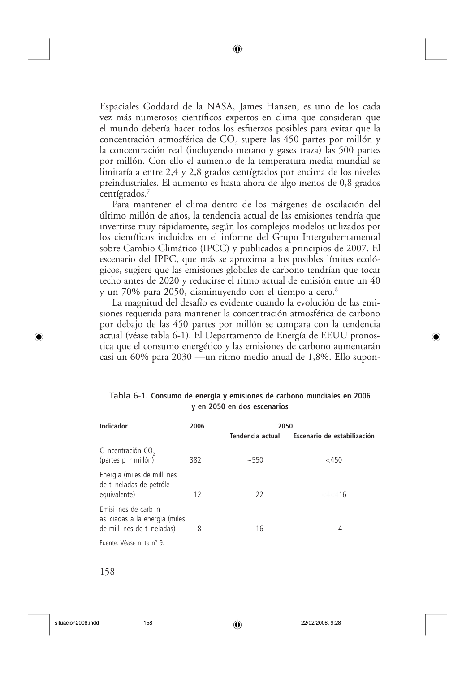Espaciales Goddard de la NASA, James Hansen, es uno de los cada vez más numerosos científicos expertos en clima que consideran que el mundo debería hacer todos los esfuerzos posibles para evitar que la concentración atmosférica de CO<sub>2</sub> supere las 450 partes por millón y la concentración real (incluyendo metano y gases traza) las 500 partes por millón. Con ello el aumento de la temperatura media mundial se limitaría a entre 2,4 y 2,8 grados centígrados por encima de los niveles preindustriales. El aumento es hasta ahora de algo menos de 0,8 grados centígrados. $7$ 

Para mantener el clima dentro de los márgenes de oscilación del último millón de años, la tendencia actual de las emisiones tendría que invertirse muy rápidamente, según los complejos modelos utilizados por los científicos incluidos en el informe del Grupo Intergubernamental sobre Cambio Climático (IPCC) y publicados a principios de 2007. El escenario del IPPC, que más se aproxima a los posibles límites ecológicos, sugiere que las emisiones globales de carbono tendrían que tocar techo antes de 2020 y reducirse el ritmo actual de emisión entre un 40 y un 70% para 2050, disminuyendo con el tiempo a cero.<sup>8</sup>

La magnitud del desafío es evidente cuando la evolución de las emisiones requerida para mantener la concentración atmosférica de carbono por debajo de las 450 partes por millón se compara con la tendencia actual (véase tabla 6-1). El Departamento de Energía de EEUU pronostica que el consumo energético y las emisiones de carbono aumentarán casi un 60% para 2030 —un ritmo medio anual de 1,8%. Ello supon-

| <b>Indicador</b>                                                                  | 2006 | 2050             |                             |
|-----------------------------------------------------------------------------------|------|------------------|-----------------------------|
|                                                                                   |      | Tendencia actual | Escenario de estabilización |
| C ncentración CO <sub>2</sub><br>(partes p r millón)                              | 382  | ~100             | $<$ 450                     |
| Energía (miles de mill nes<br>de t neladas de petróle<br>equivalente)             | 12   | 22               | 16                          |
| Emisi nes de carb n<br>as ciadas a la energía (miles<br>de mill nes de t neladas) | 8    | 16               | 4                           |

◈

Tabla 6-1. Consumo de energía y emisiones de carbono mundiales en 2006 y en 2050 en dos escenarios

Fuente: Véase n ta nº 9.

⊕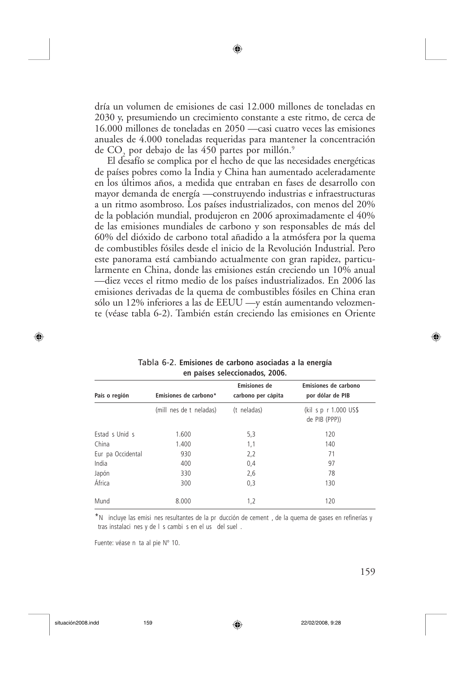dría un volumen de emisiones de casi 12.000 millones de toneladas en 2030 y, presumiendo un crecimiento constante a este ritmo, de cerca de 16.000 millones de toneladas en 2050 —casi cuatro veces las emisiones anuales de 4.000 toneladas requeridas para mantener la concentración de CO<sub>2</sub> por debajo de las 450 partes por millón.<sup>9</sup>

El desafío se complica por el hecho de que las necesidades energéticas de países pobres como la India y China han aumentado aceleradamente en los últimos años, a medida que entraban en fases de desarrollo con mayor demanda de energía - construyendo industrias e infraestructuras a un ritmo asombroso. Los países industrializados, con menos del 20% de la población mundial, produjeron en 2006 aproximadamente el 40% de las emisiones mundiales de carbono y son responsables de más del 60% del dióxido de carbono total añadido a la atmósfera por la quema de combustibles fósiles desde el inicio de la Revolución Industrial. Pero este panorama está cambiando actualmente con gran rapidez, particularmente en China, donde las emisiones están creciendo un 10% anual —diez veces el ritmo medio de los países industrializados. En 2006 las emisiones derivadas de la quema de combustibles fósiles en China eran sólo un 12% inferiores a las de EEUU —y están aumentando velozmente (véase tabla 6-2). También están creciendo las emisiones en Oriente

| País o región     | Emisiones de carbono*   | <b>Emisiones de</b><br>carbono per cápita | Emisiones de carbono<br>por dólar de PIB |
|-------------------|-------------------------|-------------------------------------------|------------------------------------------|
|                   | (mill nes de t neladas) | (t neladas)                               | (kil s p r 1.000 US\$<br>de PIB (PPP))   |
| Estad s Unid s    | 1.600                   | 5,3                                       | 120                                      |
| China             | 1.400                   | 1,1                                       | 140                                      |
| Eur pa Occidental | 930                     | 2,2                                       | 71                                       |
| India             | 400                     | 0,4                                       | 97                                       |
| Japón             | 330                     | 2,6                                       | 78                                       |
| África            | 300                     | 0,3                                       | 130                                      |
| Mund              | 8.000                   | 1,2                                       | 120                                      |

Tabla 6-2. Emisiones de carbono asociadas a la energía en países seleccionados. 2006.

\*N incluye las emisi nes resultantes de la pr ducción de cement, de la quema de gases en refinerías y tras instalaci nes y de I s cambi s en el us del suel.

◈

Fuente: véase n ta al pie Nº 10.

⊕

♠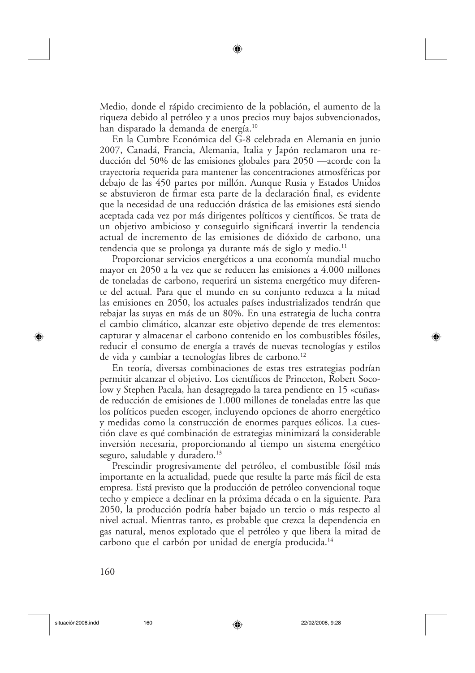Medio, donde el rápido crecimiento de la población, el aumento de la riqueza debido al petróleo y a unos precios muy bajos subvencionados, han disparado la demanda de energía.<sup>10</sup>

En la Cumbre Económica del G-8 celebrada en Alemania en junio 2007, Canadá, Francia, Alemania, Italia y Japón reclamaron una reducción del 50% de las emisiones globales para 2050 —acorde con la trayectoria requerida para mantener las concentraciones atmosféricas por debajo de las 450 partes por millón. Aunque Rusia y Estados Unidos se abstuvieron de firmar esta parte de la declaración final, es evidente que la necesidad de una reducción drástica de las emisiones está siendo aceptada cada vez por más dirigentes políticos y científicos. Se trata de un objetivo ambicioso y conseguirlo significará invertir la tendencia actual de incremento de las emisiones de dióxido de carbono, una tendencia que se prolonga ya durante más de siglo y medio.<sup>11</sup>

Proporcionar servicios energéticos a una economía mundial mucho mayor en 2050 a la vez que se reducen las emisiones a 4.000 millones de toneladas de carbono, requerirá un sistema energético muy diferente del actual. Para que el mundo en su conjunto reduzca a la mitad las emisiones en 2050, los actuales países industrializados tendrán que rebajar las suyas en más de un 80%. En una estrategia de lucha contra el cambio climático, alcanzar este objetivo depende de tres elementos: capturar y almacenar el carbono contenido en los combustibles fósiles, reducir el consumo de energía a través de nuevas tecnologías y estilos de vida y cambiar a tecnologías libres de carbono.<sup>12</sup>

En teoría, diversas combinaciones de estas tres estrategias podrían permitir alcanzar el objetivo. Los científicos de Princeton, Robert Socolow y Stephen Pacala, han desagregado la tarea pendiente en 15 «cuñas» de reducción de emisiones de 1.000 millones de toneladas entre las que los políticos pueden escoger, incluyendo opciones de ahorro energético y medidas como la construcción de enormes parques eólicos. La cuestión clave es qué combinación de estrategias minimizará la considerable inversión necesaria, proporcionando al tiempo un sistema energético seguro, saludable y duradero.<sup>13</sup>

Prescindir progresivamente del petróleo, el combustible fósil más importante en la actualidad, puede que resulte la parte más fácil de esta empresa. Está previsto que la producción de petróleo convencional toque techo y empiece a declinar en la próxima década o en la siguiente. Para 2050, la producción podría haber bajado un tercio o más respecto al nivel actual. Mientras tanto, es probable que crezca la dependencia en gas natural, menos explotado que el petróleo y que libera la mitad de carbono que el carbón por unidad de energía producida.<sup>14</sup>

⊕

160

⊕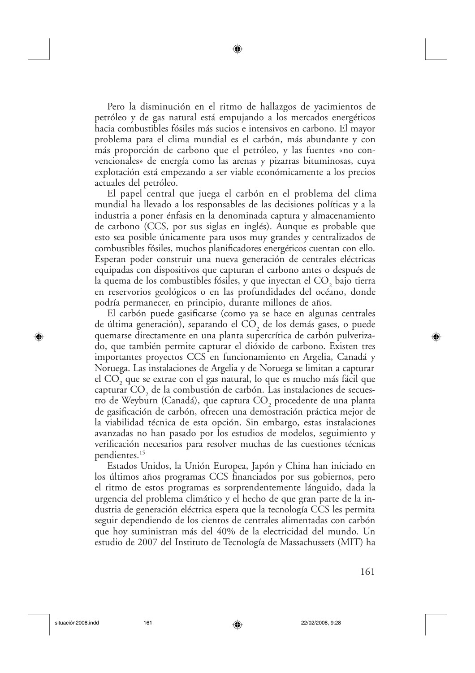Pero la disminución en el ritmo de hallazgos de yacimientos de petróleo y de gas natural está empujando a los mercados energéticos hacia combustibles fósiles más sucios e intensivos en carbono. El mayor problema para el clima mundial es el carbón, más abundante y con más proporción de carbono que el petróleo, y las fuentes «no convencionales» de energía como las arenas y pizarras bituminosas, cuya explotación está empezando a ser viable económicamente a los precios actuales del petróleo.

El papel central que juega el carbón en el problema del clima mundial ha llevado a los responsables de las decisiones políticas y a la industria a poner énfasis en la denominada captura y almacenamiento de carbono (CCS, por sus siglas en inglés). Aunque es probable que esto sea posible únicamente para usos muy grandes y centralizados de combustibles fósiles, muchos planificadores energéticos cuentan con ello. Esperan poder construir una nueva generación de centrales eléctricas equipadas con dispositivos que capturan el carbono antes o después de la quema de los combustibles fósiles, y que inyectan el CO<sub>2</sub> bajo tierra en reservorios geológicos o en las profundidades del océano, donde podría permanecer, en principio, durante millones de años.

El carbón puede gasificarse (como ya se hace en algunas centrales de última generación), separando el  $CO<sub>2</sub>$  de los demás gases, o puede quemarse directamente en una planta supercrítica de carbón pulverizado, que también permite capturar el dióxido de carbono. Existen tres importantes proyectos CCS en funcionamiento en Argelia, Canadá y Noruega. Las instalaciones de Argelia y de Noruega se limitan a capturar el CO, que se extrae con el gas natural, lo que es mucho más fácil que capturar CO<sub>2</sub> de la combustión de carbón. Las instalaciones de secuestro de Weyburn (Canadá), que captura CO<sub>2</sub> procedente de una planta de gasificación de carbón, ofrecen una demostración práctica mejor de la viabilidad técnica de esta opción. Sin embargo, estas instalaciones avanzadas no han pasado por los estudios de modelos, seguimiento y verificación necesarios para resolver muchas de las cuestiones técnicas pendientes.<sup>15</sup>

Estados Unidos, la Unión Europea, Japón y China han iniciado en los últimos años programas CCS financiados por sus gobiernos, pero el ritmo de estos programas es sorprendentemente lánguido, dada la urgencia del problema climático y el hecho de que gran parte de la industria de generación eléctrica espera que la tecnología CCS les permita seguir dependiendo de los cientos de centrales alimentadas con carbón que hoy suministran más del 40% de la electricidad del mundo. Un estudio de 2007 del Instituto de Tecnología de Massachussets (MIT) ha

◈

161

⊕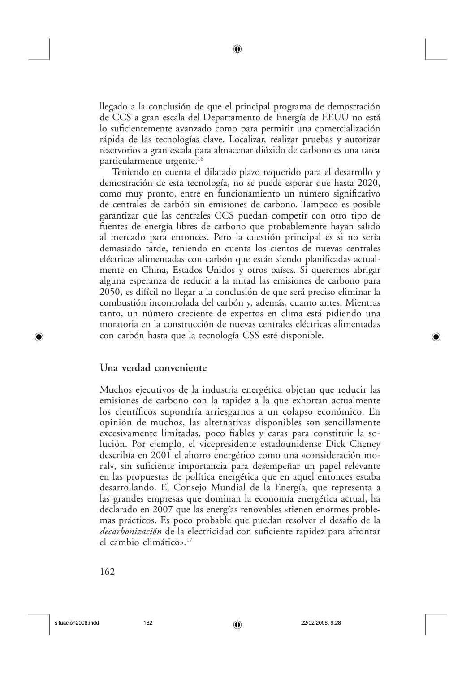llegado a la conclusión de que el principal programa de demostración de CCS a gran escala del Departamento de Energía de EEUU no está lo suficientemente avanzado como para permitir una comercialización rápida de las tecnologías clave. Localizar, realizar pruebas y autorizar reservorios a gran escala para almacenar dióxido de carbono es una tarea particularmente urgente.<sup>16</sup>

Teniendo en cuenta el dilatado plazo requerido para el desarrollo y demostración de esta tecnología, no se puede esperar que hasta 2020, como muy pronto, entre en funcionamiento un número significativo de centrales de carbón sin emisiones de carbono. Tampoco es posible garantizar que las centrales CCS puedan competir con otro tipo de fuentes de energía libres de carbono que probablemente hayan salido al mercado para entonces. Pero la cuestión principal es si no sería demasiado tarde, teniendo en cuenta los cientos de nuevas centrales eléctricas alimentadas con carbón que están siendo planificadas actualmente en China, Estados Unidos y otros países. Si queremos abrigar alguna esperanza de reducir a la mitad las emisiones de carbono para 2050, es difícil no llegar a la conclusión de que será preciso eliminar la combustión incontrolada del carbón y, además, cuanto antes. Mientras tanto, un número creciente de expertos en clima está pidiendo una moratoria en la construcción de nuevas centrales eléctricas alimentadas con carbón hasta que la tecnología CSS esté disponible.

#### Una verdad conveniente

Muchos ejecutivos de la industria energética objetan que reducir las emisiones de carbono con la rapidez a la que exhortan actualmente los científicos supondría arriesgarnos a un colapso económico. En opinión de muchos, las alternativas disponibles son sencillamente excesivamente limitadas, poco fiables y caras para constituir la solución. Por ejemplo, el vicepresidente estadounidense Dick Cheney describía en 2001 el ahorro energético como una «consideración moral», sin suficiente importancia para desempeñar un papel relevante en las propuestas de política energética que en aquel entonces estaba desarrollando. El Consejo Mundial de la Energía, que representa a las grandes empresas que dominan la economía energética actual, ha declarado en 2007 que las energías renovables «tienen enormes problemas prácticos. Es poco probable que puedan resolver el desafío de la *decarbonización* de la electricidad con suficiente rapidez para afrontar el cambio climático».<sup>17</sup>

⊕

⊕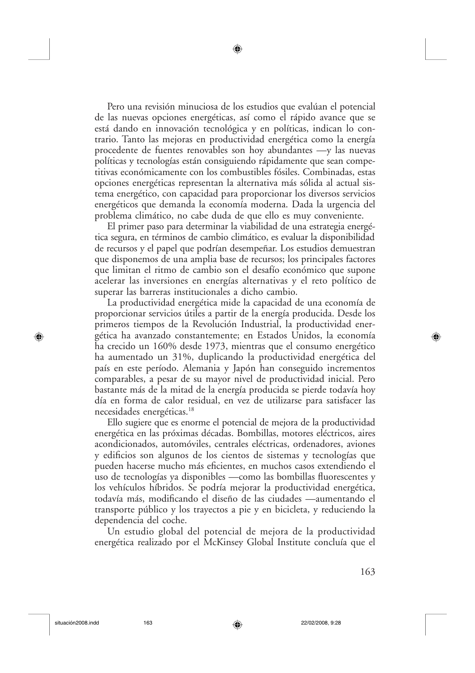Pero una revisión minuciosa de los estudios que evalúan el potencial de las nuevas opciones energéticas, así como el rápido avance que se está dando en innovación tecnológica y en políticas, indican lo contrario. Tanto las mejoras en productividad energética como la energía procedente de fuentes renovables son hoy abundantes  $-y$  las nuevas políticas y tecnologías están consiguiendo rápidamente que sean competitivas económicamente con los combustibles fósiles. Combinadas, estas opciones energéticas representan la alternativa más sólida al actual sistema energético, con capacidad para proporcionar los diversos servicios energéticos que demanda la economía moderna. Dada la urgencia del problema climático, no cabe duda de que ello es muy conveniente.

El primer paso para determinar la viabilidad de una estrategia energética segura, en términos de cambio climático, es evaluar la disponibilidad de recursos y el papel que podrían desempeñar. Los estudios demuestran que disponemos de una amplia base de recursos; los principales factores que limitan el ritmo de cambio son el desafío económico que supone acelerar las inversiones en energías alternativas y el reto político de superar las barreras institucionales a dicho cambio.

La productividad energética mide la capacidad de una economía de proporcionar servicios útiles a partir de la energía producida. Desde los primeros tiempos de la Revolución Industrial, la productividad energética ha avanzado constantemente; en Estados Unidos, la economía ha crecido un 160% desde 1973, mientras que el consumo energético ha aumentado un 31%, duplicando la productividad energética del país en este período. Alemania y Japón han conseguido incrementos comparables, a pesar de su mayor nivel de productividad inicial. Pero bastante más de la mitad de la energía producida se pierde todavía hoy día en forma de calor residual, en vez de utilizarse para satisfacer las necesidades energéticas.<sup>18</sup>

Ello sugiere que es enorme el potencial de mejora de la productividad energética en las próximas décadas. Bombillas, motores eléctricos, aires acondicionados, automóviles, centrales eléctricas, ordenadores, aviones y edificios son algunos de los cientos de sistemas y tecnologías que pueden hacerse mucho más eficientes, en muchos casos extendiendo el uso de tecnologías ya disponibles —como las bombillas fluorescentes y los vehículos híbridos. Se podría mejorar la productividad energética, todavía más, modificando el diseño de las ciudades —aumentando el transporte público y los trayectos a pie y en bicicleta, y reduciendo la dependencia del coche.

Un estudio global del potencial de mejora de la productividad energética realizado por el McKinsey Global Institute concluía que el

◈

163

⊕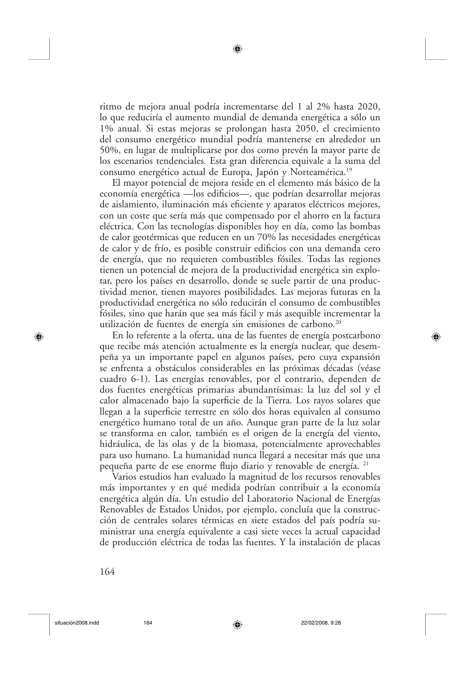ritmo de mejora anual podría incrementarse del 1 al 2% hasta 2020, lo que reduciría el aumento mundial de demanda energética a sólo un 1% anual. Si estas mejoras se prolongan hasta 2050, el crecimiento del consumo energético mundial podría mantenerse en alrededor un 50%, en lugar de multiplicarse por dos como prevén la mayor parte de los escenarios tendenciales. Esta gran diferencia equivale a la suma del consumo energético actual de Europa, Japón y Norteamérica.<sup>19</sup>

El mayor potencial de mejora reside en el elemento más básico de la economía energética — los edificios—, que podrían desarrollar mejoras de aislamiento, iluminación más eficiente y aparatos eléctricos mejores, con un coste que sería más que compensado por el ahorro en la factura eléctrica. Con las tecnologías disponibles hoy en día, como las bombas de calor geotérmicas que reducen en un 70% las necesidades energéticas de calor y de frío, es posible construir edificios con una demanda cero de energía, que no requieren combustibles fósiles. Todas las regiones tienen un potencial de mejora de la productividad energética sin explotar, pero los países en desarrollo, donde se suele partir de una productividad menor, tienen mayores posibilidades. Las mejoras futuras en la productividad energética no sólo reducirán el consumo de combustibles fósiles, sino que harán que sea más fácil y más asequible incrementar la utilización de fuentes de energía sin emisiones de carbono.<sup>20</sup>

En lo referente a la oferta, una de las fuentes de energía postcarbono que recibe más atención actualmente es la energía nuclear, que desempeña ya un importante papel en algunos países, pero cuya expansión se enfrenta a obstáculos considerables en las próximas décadas (véase cuadro 6-1). Las energías renovables, por el contrario, dependen de dos fuentes energéticas primarias abundantísimas: la luz del sol y el calor almacenado bajo la superficie de la Tierra. Los rayos solares que llegan a la superficie terrestre en sólo dos horas equivalen al consumo energético humano total de un año. Aunque gran parte de la luz solar se transforma en calor, también es el origen de la energía del viento, hidráulica, de las olas y de la biomasa, potencialmente aprovechables para uso humano. La humanidad nunca llegará a necesitar más que una pequeña parte de ese enorme flujo diario y renovable de energía. <sup>21</sup>

Varios estudios han evaluado la magnitud de los recursos renovables más importantes y en qué medida podrían contribuir a la economía energética algún día. Un estudio del Laboratorio Nacional de Energías Renovables de Estados Unidos, por ejemplo, concluía que la construcción de centrales solares térmicas en siete estados del país podría suministrar una energía equivalente a casi siete veces la actual capacidad de producción eléctrica de todas las fuentes. Y la instalación de placas

⊕

164

⊕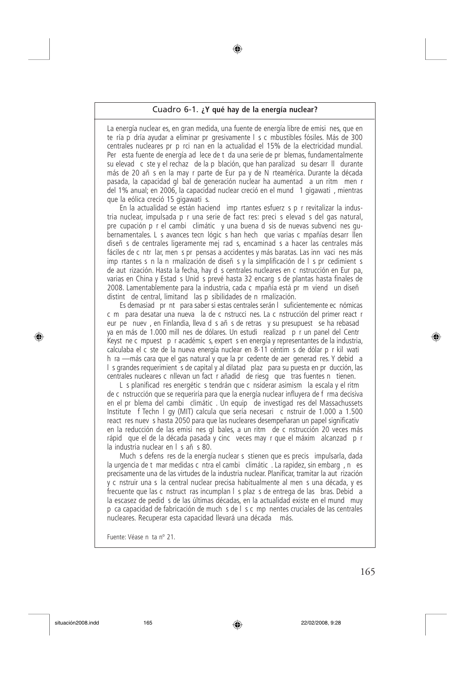#### Cuadro 6-1. ¿Y qué hay de la energía nuclear?

La energía nuclear es, en gran medida, una fuente de energía libre de emisi nes, que en te ría p dría ayudar a eliminar pr gresivamente | s c mbustibles fósiles. Más de 300 centrales nucleares pr p rci nan en la actualidad el 15% de la electricidad mundial. Per esta fuente de energía ad lece de t da una serie de pr blemas, fundamentalmente su elevad c ste y el rechaz de la p blación, que han paralizad su desarr Il durante más de 20 añ s en la may r parte de Eur pa y de N rteamérica. Durante la década pasada, la capacidad gl bal de generación nuclear ha aumentad a un ritm men r del 1% anual: en 2006, la capacidad nuclear creció en el mund 1 gigawati, mientras que la eólica creció 15 gigawati s.

En la actualidad se están haciend imp rtantes esfuerz s p r revitalizar la industria nuclear, impulsada p r una serie de fact res: preci s elevad s del gas natural, pre cupación p r el cambi climátic y una buena d sis de nuevas subvenci nes qubernamentales. L s avances tecn lógic s han hech que varias c mpañías desarr llen diseñ s de centrales ligeramente mej rad s, encaminad s a hacer las centrales más fáciles de c ntr lar, men s pr pensas a accidentes y más baratas. Las inn vaci nes más imp rtantes s n la n rmalización de diseñ s y la simplificación de l s pr cedimient s de aut rización. Hasta la fecha, hay d s centrales nucleares en c nstrucción en Eur pa, varias en China y Estad s Unid s prevé hasta 32 encarg s de plantas hasta finales de 2008. Lamentablemente para la industria, cada c mpañía está pr m viend un diseñ distint de central, limitand las p sibilidades de n rmalización.

Es demasiad pr nt para saber si estas centrales serán l suficientemente ec nómicas c m para desatar una nueva la de c nstrucci nes. La c nstrucción del primer react r eur pe nuev, en Finlandia, lleva d s añ s de retras y su presupuest se ha rebasad ya en más de 1.000 mill nes de dólares. Un estudi realizad p r un panel del Centr Keyst ne c mpuest p r académic s, expert s en energía y representantes de la industria, calculaba el c ste de la nueva energía nuclear en 8-11 céntim s de dólar p r kil wati h ra -- más cara que el gas natural y que la pr cedente de aer generad res. Y debid a I s grandes requerimient s de capital y al dilatad plaz para su puesta en pr ducción, las centrales nucleares c nllevan un fact r añadid de riesg que tras fuentes n tienen.

L s planificad res energétic s tendrán que c nsiderar asimism la escala y el ritm de c nstrucción que se requeriría para que la energía nuclear influyera de f rma decisiva en el pr blema del cambi climátic. Un equip de investigad res del Massachussets Institute f Techn I gy (MIT) calcula que sería necesari c nstruir de 1.000 a 1.500 react res nuev s hasta 2050 para que las nucleares desempeñaran un papel significativ en la reducción de las emisi nes gl bales, a un ritm de c nstrucción 20 veces más rápid que el de la década pasada y cinc veces may r que el máxim alcanzad p r la industria nuclear en l s añ s 80.

Much s defens res de la energía nuclear s stienen que es precis impulsarla, dada la urgencia de t mar medidas c ntra el cambi climátic. La rapidez, sin embarg, n es precisamente una de las virtudes de la industria nuclear. Planificar, tramitar la aut rización y c nstruir una s la central nuclear precisa habitualmente al men s una década, y es frecuente que las c nstruct ras incumplan I s plaz s de entrega de las bras. Debid a la escasez de pedid s de las últimas décadas, en la actualidad existe en el mund muy p ca capacidad de fabricación de much s de l s c mp nentes cruciales de las centrales nucleares. Recuperar esta capacidad llevará una década más.

Fuente: Véase n ta nº 21

♠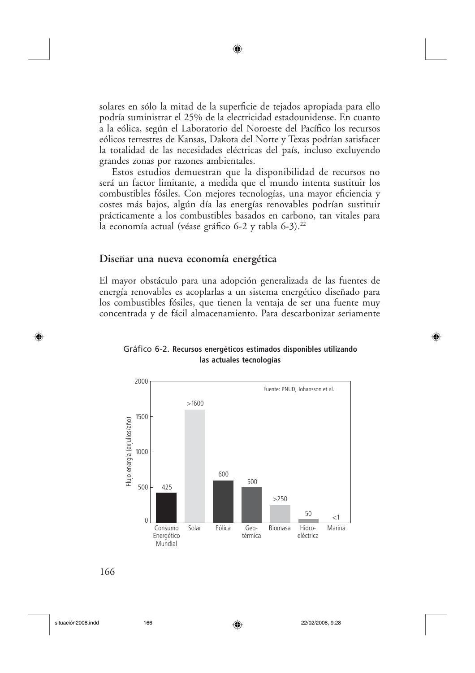solares en sólo la mitad de la superficie de tejados apropiada para ello podría suministrar el 25% de la electricidad estadounidense. En cuanto a la eólica, según el Laboratorio del Noroeste del Pacífico los recursos eólicos terrestres de Kansas, Dakota del Norte y Texas podrían satisfacer la totalidad de las necesidades eléctricas del país, incluso excluyendo grandes zonas por razones ambientales.

◉

Estos estudios demuestran que la disponibilidad de recursos no será un factor limitante, a medida que el mundo intenta sustituir los combustibles fósiles. Con mejores tecnologías, una mayor eficiencia y costes más bajos, algún día las energías renovables podrían sustituir prácticamente a los combustibles basados en carbono, tan vitales para la economía actual (véase gráfico 6-2 y tabla 6-3).<sup>22</sup>

#### Diseñar una nueva economía energética

El mayor obstáculo para una adopción generalizada de las fuentes de energía renovables es acoplarlas a un sistema energético diseñado para los combustibles fósiles, que tienen la ventaja de ser una fuente muy concentrada y de fácil almacenamiento. Para descarbonizar seriamente



◈

#### Gráfico 6-2. Recursos energéticos estimados disponibles utilizando las actuales tecnologías

166

situación2008.indd

⊕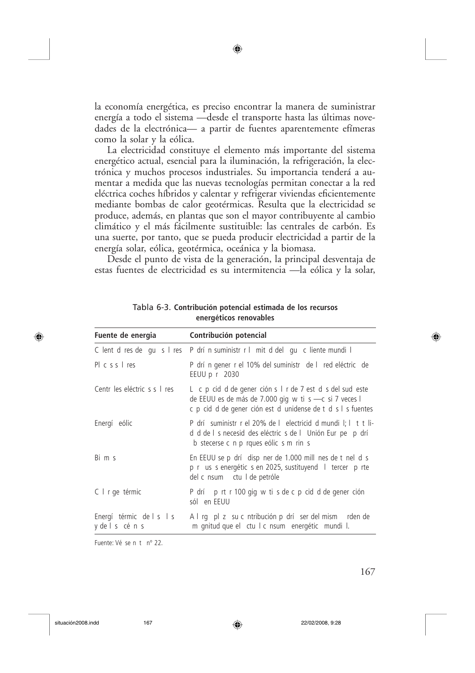la economía energética, es preciso encontrar la manera de suministrar energía a todo el sistema —desde el transporte hasta las últimas novedades de la electrónica— a partir de fuentes aparentemente efímeras como la solar y la eólica.

La electricidad constituye el elemento más importante del sistema energético actual, esencial para la iluminación, la refrigeración, la electrónica y muchos procesos industriales. Su importancia tenderá a aumentar a medida que las nuevas tecnologías permitan conectar a la red eléctrica coches híbridos y calentar y refrigerar viviendas eficientemente mediante bombas de calor geotérmicas. Resulta que la electricidad se produce, además, en plantas que son el mayor contribuyente al cambio climático y el más fácilmente sustituible: las centrales de carbón. Es una suerte, por tanto, que se pueda producir electricidad a partir de la energía solar, eólica, geotérmica, oceánica y la biomasa.

Desde el punto de vista de la generación, la principal desventaja de estas fuentes de electricidad es su intermitencia — la eólica y la solar,

| Fuente de energia                          | Contribución potencial                                                                                                                                                             |  |
|--------------------------------------------|------------------------------------------------------------------------------------------------------------------------------------------------------------------------------------|--|
|                                            | C lent d res de qu s I res P drí n suministr r I mit d del qu c liente mundi l                                                                                                     |  |
| $PI \ncs s   res$                          | P drí n gener r el 10% del suministr de l red eléctric de<br>EEUU p r 2030                                                                                                         |  |
| Centr les eléctric s s l res               | L c p cid d de gener ción s l r de 7 est d s del sud este<br>de EEUU es de más de 7.000 gig w ti s - c si 7 veces l<br>c p cid d de gener ción est d unidense de t d s l s fuentes |  |
| Energí eólic                               | P drí suministr r el 20% de l electricid d mundi l; l t t li-<br>d d de l s necesid des eléctric s de l Unión Eur pe p drí<br>b stecerse c n p rques eólic s m rin s               |  |
| Bims                                       | En EEUU se p drí disp ner de 1.000 mill nes de t nel d s<br>p r us s energétic s en 2025, sustituyend   tercer p rte<br>del c nsum ctu I de petróle                                |  |
| C   r ge térmic                            | P drí p rt r 100 gig w ti s de c p cid d de gener ción<br>sól en EEUU                                                                                                              |  |
| Energí térmic de l s l s<br>y de l s cén s | A I rg pl z su c ntribución p drí ser del mism rden de<br>m gnitud que el ctu l c nsum energétic mundi l.                                                                          |  |

Tabla 6-3. Contribución potencial estimada de los recursos energéticos renovables

Fuente: Vé se n t nº 22.

167

⊕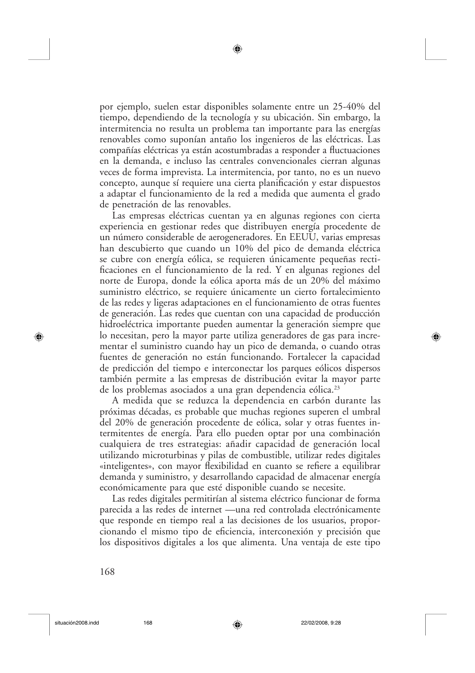por ejemplo, suelen estar disponibles solamente entre un 25-40% del tiempo, dependiendo de la tecnología y su ubicación. Sin embargo, la intermitencia no resulta un problema tan importante para las energías renovables como suponían antaño los ingenieros de las eléctricas. Las compañías eléctricas ya están acostumbradas a responder a fluctuaciones en la demanda, e incluso las centrales convencionales cierran algunas veces de forma imprevista. La intermitencia, por tanto, no es un nuevo concepto, aunque sí requiere una cierta planificación y estar dispuestos a adaptar el funcionamiento de la red a medida que aumenta el grado de penetración de las renovables.

Las empresas eléctricas cuentan ya en algunas regiones con cierta experiencia en gestionar redes que distribuyen energía procedente de un número considerable de aerogeneradores. En EEUU, varias empresas han descubierto que cuando un 10% del pico de demanda eléctrica se cubre con energía eólica, se requieren únicamente pequeñas rectificaciones en el funcionamiento de la red. Y en algunas regiones del norte de Europa, donde la eólica aporta más de un 20% del máximo suministro eléctrico, se requiere únicamente un cierto fortalecimiento de las redes y ligeras adaptaciones en el funcionamiento de otras fuentes de generación. Las redes que cuentan con una capacidad de producción hidroeléctrica importante pueden aumentar la generación siempre que lo necesitan, pero la mayor parte utiliza generadores de gas para incrementar el suministro cuando hay un pico de demanda, o cuando otras fuentes de generación no están funcionando. Fortalecer la capacidad de predicción del tiempo e interconectar los parques eólicos dispersos también permite a las empresas de distribución evitar la mayor parte de los problemas asociados a una gran dependencia eólica.<sup>23</sup>

A medida que se reduzca la dependencia en carbón durante las próximas décadas, es probable que muchas regiones superen el umbral del 20% de generación procedente de eólica, solar y otras fuentes intermitentes de energía. Para ello pueden optar por una combinación cualquiera de tres estrategias: añadir capacidad de generación local utilizando microturbinas y pilas de combustible, utilizar redes digitales «inteligentes», con mayor flexibilidad en cuanto se refiere a equilibrar demanda y suministro, y desarrollando capacidad de almacenar energía económicamente para que esté disponible cuando se necesite.

Las redes digitales permitirían al sistema eléctrico funcionar de forma parecida a las redes de internet —una red controlada electrónicamente que responde en tiempo real a las decisiones de los usuarios, proporcionando el mismo tipo de eficiencia, interconexión y precisión que los dispositivos digitales a los que alimenta. Una ventaja de este tipo

◈

168

⊕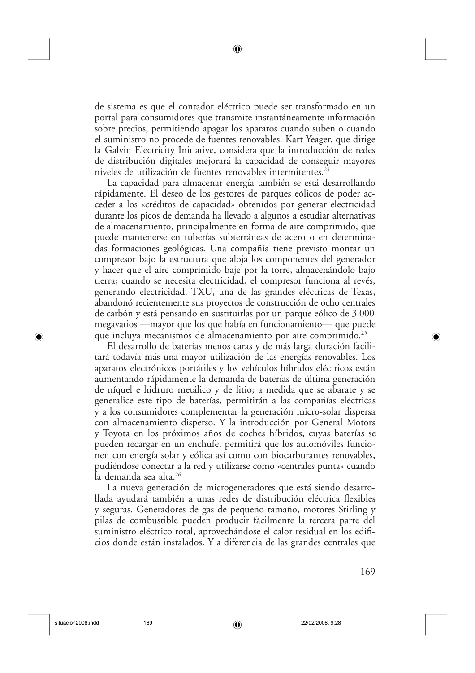de sistema es que el contador eléctrico puede ser transformado en un portal para consumidores que transmite instantáneamente información sobre precios, permitiendo apagar los aparatos cuando suben o cuando el suministro no procede de fuentes renovables. Kart Yeager, que dirige la Galvin Electricity Initiative, considera que la introducción de redes de distribución digitales mejorará la capacidad de conseguir mayores niveles de utilización de fuentes renovables intermitentes.<sup>24</sup>

La capacidad para almacenar energía también se está desarrollando rápidamente. El deseo de los gestores de parques eólicos de poder acceder a los «créditos de capacidad» obtenidos por generar electricidad durante los picos de demanda ha llevado a algunos a estudiar alternativas de almacenamiento, principalmente en forma de aire comprimido, que puede mantenerse en tuberías subterráneas de acero o en determinadas formaciones geológicas. Una compañía tiene previsto montar un compresor bajo la estructura que aloja los componentes del generador y hacer que el aire comprimido baje por la torre, almacenándolo bajo tierra; cuando se necesita electricidad, el compresor funciona al revés, generando electricidad. TXU, una de las grandes eléctricas de Texas, abandonó recientemente sus proyectos de construcción de ocho centrales de carbón y está pensando en sustituirlas por un parque eólico de 3.000 megavatios — mayor que los que había en funcionamiento— que puede que incluya mecanismos de almacenamiento por aire comprimido.<sup>25</sup>

El desarrollo de baterías menos caras y de más larga duración facilitará todavía más una mayor utilización de las energías renovables. Los aparatos electrónicos portátiles y los vehículos híbridos eléctricos están aumentando rápidamente la demanda de baterías de última generación de níquel e hidruro metálico y de litio; a medida que se abarate y se generalice este tipo de baterías, permitirán a las compañías eléctricas y a los consumidores complementar la generación micro-solar dispersa con almacenamiento disperso. Y la introducción por General Motors y Toyota en los próximos años de coches híbridos, cuyas baterías se pueden recargar en un enchufe, permitirá que los automóviles funcionen con energía solar y eólica así como con biocarburantes renovables, pudiéndose conectar a la red y utilizarse como «centrales punta» cuando la demanda sea alta.<sup>26</sup>

La nueva generación de microgeneradores que está siendo desarrollada ayudará también a unas redes de distribución eléctrica flexibles y seguras. Generadores de gas de pequeño tamaño, motores Stirling y pilas de combustible pueden producir fácilmente la tercera parte del suministro eléctrico total, aprovechándose el calor residual en los edificios donde están instalados. Y a diferencia de las grandes centrales que

⊕

169

⊕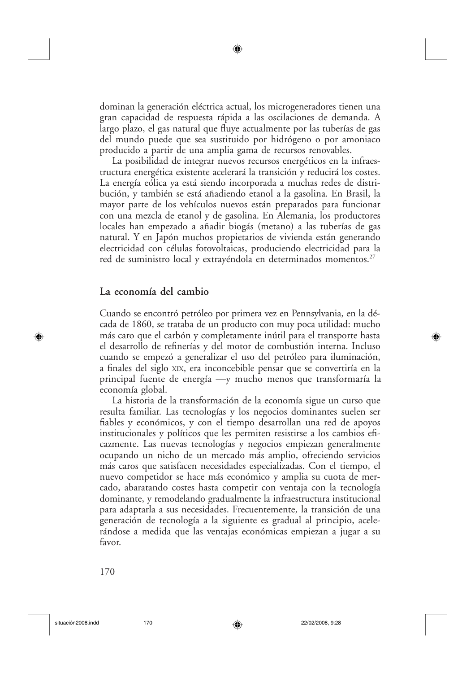dominan la generación eléctrica actual, los microgeneradores tienen una gran capacidad de respuesta rápida a las oscilaciones de demanda. A largo plazo, el gas natural que fluye actualmente por las tuberías de gas del mundo puede que sea sustituido por hidrógeno o por amoniaco producido a partir de una amplia gama de recursos renovables.

La posibilidad de integrar nuevos recursos energéticos en la infraestructura energética existente acelerará la transición y reducirá los costes. La energía eólica ya está siendo incorporada a muchas redes de distribución, y también se está añadiendo etanol a la gasolina. En Brasil, la mayor parte de los vehículos nuevos están preparados para funcionar con una mezcla de etanol y de gasolina. En Alemania, los productores locales han empezado a añadir biogás (metano) a las tuberías de gas natural. Y en Japón muchos propietarios de vivienda están generando electricidad con células fotovoltaicas, produciendo electricidad para la red de suministro local y extrayéndola en determinados momentos.<sup>27</sup>

#### La economía del cambio

Cuando se encontró petróleo por primera vez en Pennsylvania, en la década de 1860, se trataba de un producto con muy poca utilidad: mucho más caro que el carbón y completamente inútil para el transporte hasta el desarrollo de refinerías y del motor de combustión interna. Incluso cuando se empezó a generalizar el uso del petróleo para iluminación, a finales del siglo XIX, era inconcebible pensar que se convertiría en la principal fuente de energía —y mucho menos que transformaría la economía global.

La historia de la transformación de la economía sigue un curso que resulta familiar. Las tecnologías y los negocios dominantes suelen ser fiables y económicos, y con el tiempo desarrollan una red de apoyos institucionales y políticos que les permiten resistirse a los cambios eficazmente. Las nuevas tecnologías y negocios empiezan generalmente ocupando un nicho de un mercado más amplio, ofreciendo servicios más caros que satisfacen necesidades especializadas. Con el tiempo, el nuevo competidor se hace más económico y amplia su cuota de mercado, abaratando costes hasta competir con ventaja con la tecnología dominante, y remodelando gradualmente la infraestructura institucional para adaptarla a sus necesidades. Frecuentemente, la transición de una generación de tecnología a la siguiente es gradual al principio, acelerándose a medida que las ventajas económicas empiezan a jugar a su favor.

⊕

170

⊕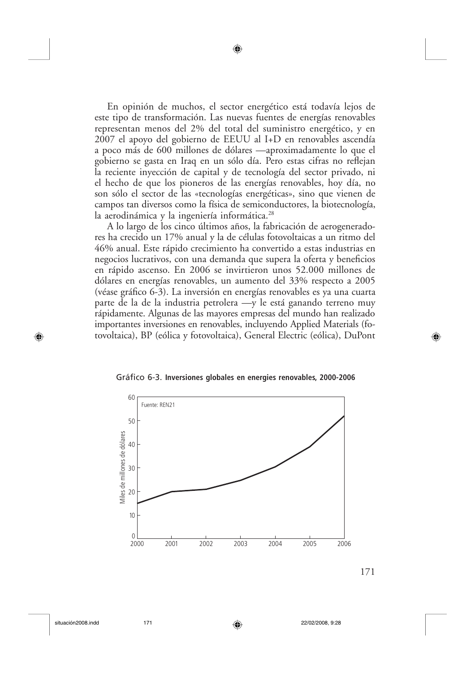En opinión de muchos, el sector energético está todavía lejos de este tipo de transformación. Las nuevas fuentes de energías renovables representan menos del 2% del total del suministro energético, y en 2007 el apoyo del gobierno de EEUU al I+D en renovables ascendía a poco más de 600 millones de dólares —aproximadamente lo que el gobierno se gasta en Iraq en un sólo día. Pero estas cifras no reflejan la reciente inyección de capital y de tecnología del sector privado, ni el hecho de que los pioneros de las energías renovables, hoy día, no son sólo el sector de las «tecnologías energéticas», sino que vienen de campos tan diversos como la física de semiconductores, la biotecnología, la aerodinámica y la ingeniería informática.<sup>28</sup>

◉

A lo largo de los cinco últimos años, la fabricación de aerogeneradores ha crecido un 17% anual y la de células fotovoltaicas a un ritmo del 46% anual. Este rápido crecimiento ha convertido a estas industrias en negocios lucrativos, con una demanda que supera la oferta y beneficios en rápido ascenso. En 2006 se invirtieron unos 52.000 millones de dólares en energías renovables, un aumento del 33% respecto a 2005 (véase gráfico 6-3). La inversión en energías renovables es ya una cuarta parte de la de la industria petrolera —y le está ganando terreno muy rápidamente. Algunas de las mayores empresas del mundo han realizado importantes inversiones en renovables, incluyendo Applied Materials (fotovoltaica), BP (eólica y fotovoltaica), General Electric (eólica), DuPont

#### Gráfico 6-3. Inversiones globales en energies renovables, 2000-2006



⊕

171

◈

situación2008.indd

♠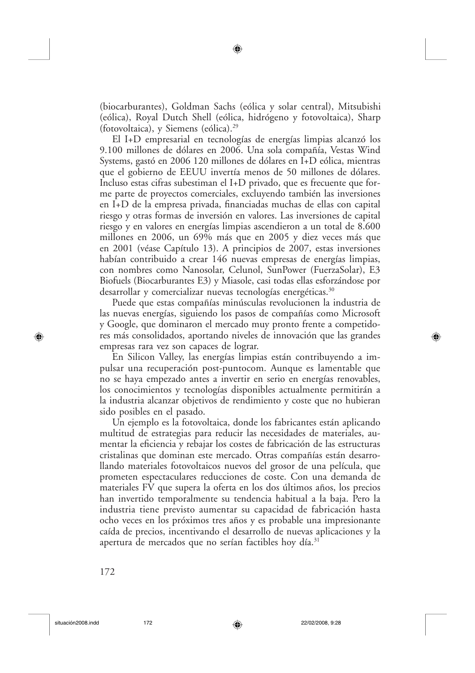(biocarburantes), Goldman Sachs (eólica y solar central), Mitsubishi (eólica), Royal Dutch Shell (eólica, hidrógeno y fotovoltaica), Sharp (fotovoltaica), y Siemens (eólica).<sup>29</sup>

El I+D empresarial en tecnologías de energías limpias alcanzó los 9.100 millones de dólares en 2006. Una sola compañía, Vestas Wind Systems, gastó en 2006 120 millones de dólares en I+D eólica, mientras que el gobierno de EEUU invertía menos de 50 millones de dólares. Incluso estas cifras subestiman el I+D privado, que es frecuente que forme parte de proyectos comerciales, excluyendo también las inversiones en I+D de la empresa privada, financiadas muchas de ellas con capital riesgo y otras formas de inversión en valores. Las inversiones de capital riesgo y en valores en energías limpias ascendieron a un total de 8.600 millones en 2006, un 69% más que en 2005 y diez veces más que en 2001 (véase Capítulo 13). A principios de 2007, estas inversiones habían contribuido a crear 146 nuevas empresas de energías limpias, con nombres como Nanosolar, Celunol, SunPower (FuerzaSolar), E3 Biofuels (Biocarburantes E3) y Miasole, casi todas ellas esforzándose por desarrollar y comercializar nuevas tecnologías energéticas.<sup>30</sup>

Puede que estas compañías minúsculas revolucionen la industria de las nuevas energías, siguiendo los pasos de compañías como Microsoft y Google, que dominaron el mercado muy pronto frente a competidores más consolidados, aportando niveles de innovación que las grandes empresas rara vez son capaces de lograr.

En Silicon Valley, las energías limpias están contribuyendo a impulsar una recuperación post-puntocom. Aunque es lamentable que no se haya empezado antes a invertir en serio en energías renovables, los conocimientos y tecnologías disponibles actualmente permitirán a la industria alcanzar objetivos de rendimiento y coste que no hubieran sido posibles en el pasado.

Un ejemplo es la fotovoltaica, donde los fabricantes están aplicando multitud de estrategias para reducir las necesidades de materiales, aumentar la eficiencia y rebajar los costes de fabricación de las estructuras cristalinas que dominan este mercado. Otras compañías están desarrollando materiales fotovoltaicos nuevos del grosor de una película, que prometen espectaculares reducciones de coste. Con una demanda de materiales FV que supera la oferta en los dos últimos años, los precios han invertido temporalmente su tendencia habitual a la baja. Pero la industria tiene previsto aumentar su capacidad de fabricación hasta ocho veces en los próximos tres años y es probable una impresionante caída de precios, incentivando el desarrollo de nuevas aplicaciones y la apertura de mercados que no serían factibles hoy día.<sup>31</sup>

⊕

172

⊕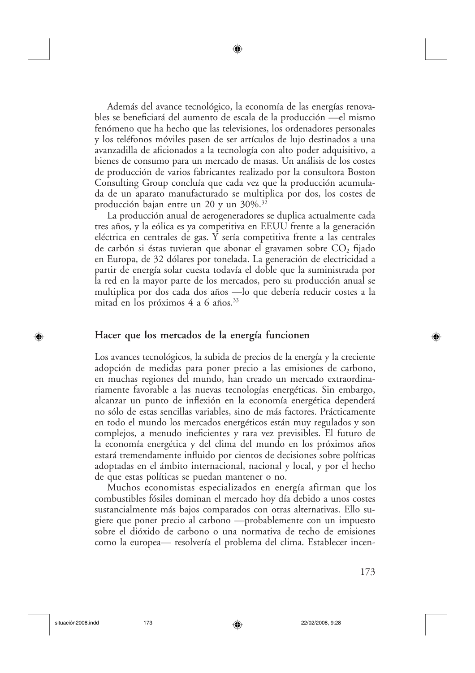Además del avance tecnológico, la economía de las energías renovables se beneficiará del aumento de escala de la producción — el mismo fenómeno que ha hecho que las televisiones, los ordenadores personales y los teléfonos móviles pasen de ser artículos de lujo destinados a una avanzadilla de aficionados a la tecnología con alto poder adquisitivo, a bienes de consumo para un mercado de masas. Un análisis de los costes de producción de varios fabricantes realizado por la consultora Boston Consulting Group concluía que cada vez que la producción acumulada de un aparato manufacturado se multiplica por dos, los costes de producción bajan entre un 20 y un 30%.<sup>32</sup>

La producción anual de aerogeneradores se duplica actualmente cada tres años, y la eólica es ya competitiva en EEUU frente a la generación eléctrica en centrales de gas. Y sería competitiva frente a las centrales de carbón si éstas tuvieran que abonar el gravamen sobre  $CO<sub>2</sub>$  fijado en Europa, de 32 dólares por tonelada. La generación de electricidad a partir de energía solar cuesta todavía el doble que la suministrada por la red en la mayor parte de los mercados, pero su producción anual se multiplica por dos cada dos años -lo que debería reducir costes a la mitad en los próximos 4 a 6 años.<sup>33</sup>

#### Hacer que los mercados de la energía funcionen

Los avances tecnológicos, la subida de precios de la energía y la creciente adopción de medidas para poner precio a las emisiones de carbono, en muchas regiones del mundo, han creado un mercado extraordinariamente favorable a las nuevas tecnologías energéticas. Sin embargo, alcanzar un punto de inflexión en la economía energética dependerá no sólo de estas sencillas variables, sino de más factores. Prácticamente en todo el mundo los mercados energéticos están muy regulados y son complejos, a menudo ineficientes y rara vez previsibles. El futuro de la economía energética y del clima del mundo en los próximos años estará tremendamente influido por cientos de decisiones sobre políticas adoptadas en el ámbito internacional, nacional y local, y por el hecho de que estas políticas se puedan mantener o no.

Muchos economistas especializados en energía afirman que los combustibles fósiles dominan el mercado hoy día debido a unos costes sustancialmente más bajos comparados con otras alternativas. Ello sugiere que poner precio al carbono —probablemente con un impuesto sobre el dióxido de carbono o una normativa de techo de emisiones como la europea— resolvería el problema del clima. Establecer incen-

173

⊕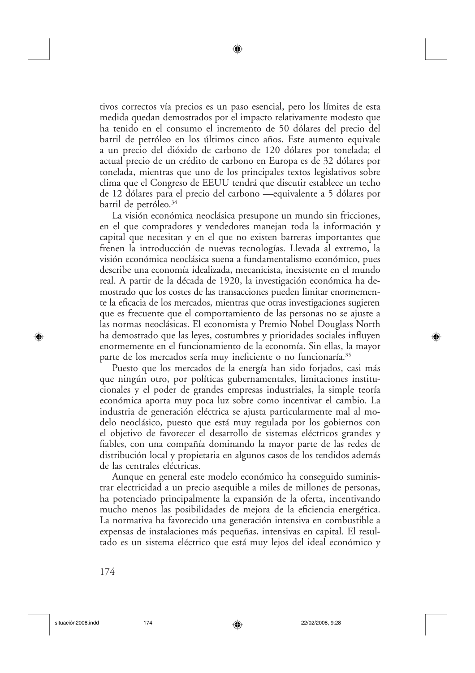tivos correctos vía precios es un paso esencial, pero los límites de esta medida quedan demostrados por el impacto relativamente modesto que ha tenido en el consumo el incremento de 50 dólares del precio del barril de petróleo en los últimos cinco años. Este aumento equivale a un precio del dióxido de carbono de 120 dólares por tonelada; el actual precio de un crédito de carbono en Europa es de 32 dólares por tonelada, mientras que uno de los principales textos legislativos sobre clima que el Congreso de EEUU tendrá que discutir establece un techo de 12 dólares para el precio del carbono —equivalente a 5 dólares por barril de petróleo.<sup>34</sup>

La visión económica neoclásica presupone un mundo sin fricciones, en el que compradores y vendedores manejan toda la información y capital que necesitan y en el que no existen barreras importantes que frenen la introducción de nuevas tecnologías. Llevada al extremo, la visión económica neoclásica suena a fundamentalismo económico, pues describe una economía idealizada, mecanicista, inexistente en el mundo real. A partir de la década de 1920, la investigación económica ha demostrado que los costes de las transacciones pueden limitar enormemente la eficacia de los mercados, mientras que otras investigaciones sugieren que es frecuente que el comportamiento de las personas no se ajuste a las normas neoclásicas. El economista y Premio Nobel Douglass North ha demostrado que las leyes, costumbres y prioridades sociales influyen enormemente en el funcionamiento de la economía. Sin ellas, la mayor parte de los mercados sería muy ineficiente o no funcionaría.<sup>35</sup>

Puesto que los mercados de la energía han sido forjados, casi más que ningún otro, por políticas gubernamentales, limitaciones institucionales y el poder de grandes empresas industriales, la simple teoría económica aporta muy poca luz sobre como incentivar el cambio. La industria de generación eléctrica se ajusta particularmente mal al modelo neoclásico, puesto que está muy regulada por los gobiernos con el objetivo de favorecer el desarrollo de sistemas eléctricos grandes y fiables, con una compañía dominando la mayor parte de las redes de distribución local y propietaria en algunos casos de los tendidos además de las centrales eléctricas.

Aunque en general este modelo económico ha conseguido suministrar electricidad a un precio asequible a miles de millones de personas, ha potenciado principalmente la expansión de la oferta, incentivando mucho menos las posibilidades de mejora de la eficiencia energética. La normativa ha favorecido una generación intensiva en combustible a expensas de instalaciones más pequeñas, intensivas en capital. El resultado es un sistema eléctrico que está muy lejos del ideal económico y

⊕

174

⊕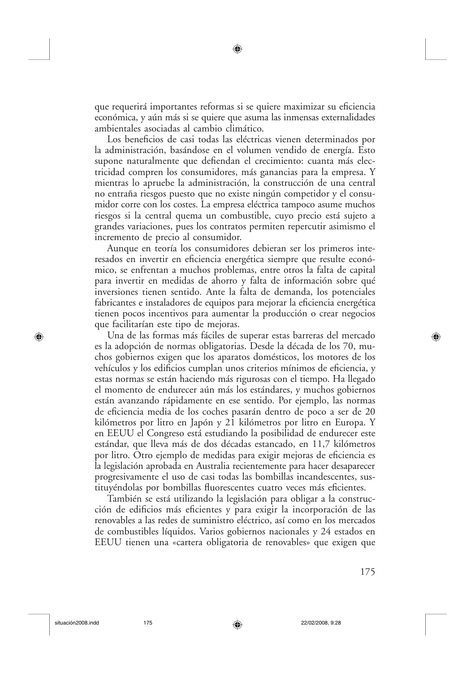que requerirá importantes reformas si se quiere maximizar su eficiencia económica, y aún más si se quiere que asuma las inmensas externalidades ambientales asociadas al cambio climático.

Los beneficios de casi todas las eléctricas vienen determinados por la administración, basándose en el volumen vendido de energía. Esto supone naturalmente que defiendan el crecimiento: cuanta más electricidad compren los consumidores, más ganancias para la empresa. Y mientras lo apruebe la administración, la construcción de una central no entraña riesgos puesto que no existe ningún competidor y el consumidor corre con los costes. La empresa eléctrica tampoco asume muchos riesgos si la central quema un combustible, cuyo precio está sujeto a grandes variaciones, pues los contratos permiten repercutir asimismo el incremento de precio al consumidor.

Aunque en teoría los consumidores debieran ser los primeros interesados en invertir en eficiencia energética siempre que resulte económico, se enfrentan a muchos problemas, entre otros la falta de capital para invertir en medidas de ahorro y falta de información sobre qué inversiones tienen sentido. Ante la falta de demanda, los potenciales fabricantes e instaladores de equipos para mejorar la eficiencia energética tienen pocos incentivos para aumentar la producción o crear negocios que facilitarían este tipo de mejoras.

Una de las formas más fáciles de superar estas barreras del mercado es la adopción de normas obligatorias. Desde la década de los 70, muchos gobiernos exigen que los aparatos domésticos, los motores de los vehículos y los edificios cumplan unos criterios mínimos de eficiencia, y estas normas se están haciendo más rigurosas con el tiempo. Ha llegado el momento de endurecer aún más los estándares, y muchos gobiernos están avanzando rápidamente en ese sentido. Por ejemplo, las normas de eficiencia media de los coches pasarán dentro de poco a ser de 20 kilómetros por litro en Japón y 21 kilómetros por litro en Europa. Y en EEUU el Congreso está estudiando la posibilidad de endurecer este estándar, que lleva más de dos décadas estancado, en 11,7 kilómetros por litro. Otro ejemplo de medidas para exigir mejoras de eficiencia es la legislación aprobada en Australia recientemente para hacer desaparecer progresivamente el uso de casi todas las bombillas incandescentes, sustituyéndolas por bombillas fluorescentes cuatro veces más eficientes.

También se está utilizando la legislación para obligar a la construcción de edificios más eficientes y para exigir la incorporación de las renovables a las redes de suministro eléctrico, así como en los mercados de combustibles líquidos. Varios gobiernos nacionales y 24 estados en EEUU tienen una «cartera obligatoria de renovables» que exigen que

◈

175

⊕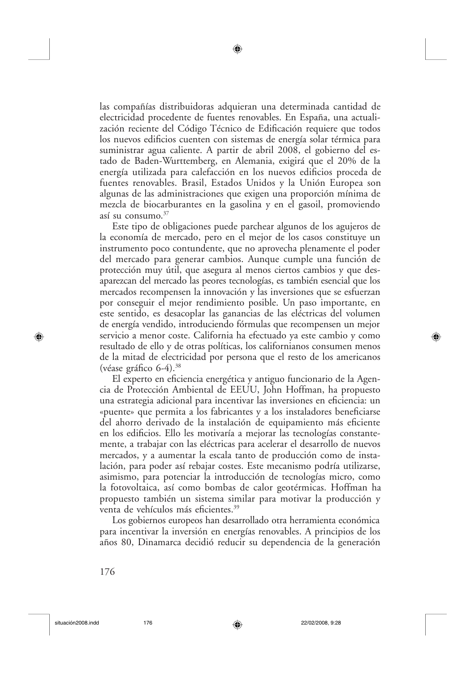las compañías distribuidoras adquieran una determinada cantidad de electricidad procedente de fuentes renovables. En España, una actualización reciente del Código Técnico de Edificación requiere que todos los nuevos edificios cuenten con sistemas de energía solar térmica para suministrar agua caliente. A partir de abril 2008, el gobierno del estado de Baden-Wurttemberg, en Alemania, exigirá que el 20% de la energía utilizada para calefacción en los nuevos edificios proceda de fuentes renovables. Brasil, Estados Unidos y la Unión Europea son algunas de las administraciones que exigen una proporción mínima de mezcla de biocarburantes en la gasolina y en el gasoil, promoviendo así su consumo. $37$ 

Este tipo de obligaciones puede parchear algunos de los agujeros de la economía de mercado, pero en el mejor de los casos constituye un instrumento poco contundente, que no aprovecha plenamente el poder del mercado para generar cambios. Aunque cumple una función de protección muy útil, que asegura al menos ciertos cambios y que desaparezcan del mercado las peores tecnologías, es también esencial que los mercados recompensen la innovación y las inversiones que se esfuerzan por conseguir el mejor rendimiento posible. Un paso importante, en este sentido, es desacoplar las ganancias de las eléctricas del volumen de energía vendido, introduciendo fórmulas que recompensen un mejor servicio a menor coste. California ha efectuado ya este cambio y como resultado de ello y de otras políticas, los californianos consumen menos de la mitad de electricidad por persona que el resto de los americanos (véase gráfico 6-4).<sup>38</sup>

El experto en eficiencia energética y antiguo funcionario de la Agencia de Protección Ambiental de EEUU, John Hoffman, ha propuesto una estrategia adicional para incentivar las inversiones en eficiencia: un «puente» que permita a los fabricantes y a los instaladores beneficiarse del ahorro derivado de la instalación de equipamiento más eficiente en los edificios. Ello les motivaría a mejorar las tecnologías constantemente, a trabajar con las eléctricas para acelerar el desarrollo de nuevos mercados, y a aumentar la escala tanto de producción como de instalación, para poder así rebajar costes. Este mecanismo podría utilizarse, asimismo, para potenciar la introducción de tecnologías micro, como la fotovoltaica, así como bombas de calor geotérmicas. Hoffman ha propuesto también un sistema similar para motivar la producción y venta de vehículos más eficientes.<sup>39</sup>

Los gobiernos europeos han desarrollado otra herramienta económica para incentivar la inversión en energías renovables. A principios de los años 80, Dinamarca decidió reducir su dependencia de la generación

⊕

176

⊕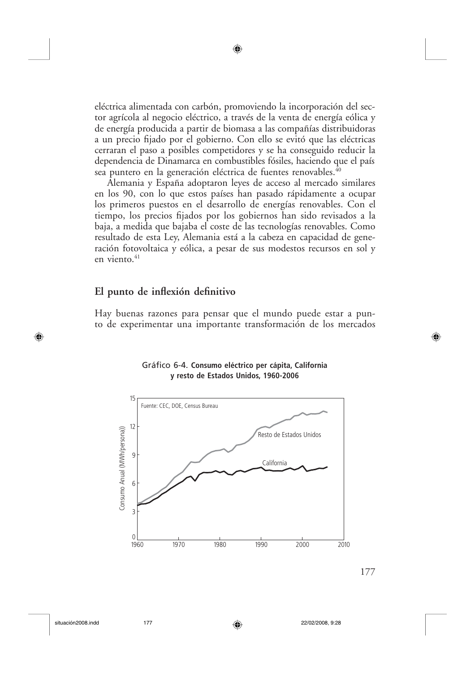eléctrica alimentada con carbón, promoviendo la incorporación del sector agrícola al negocio eléctrico, a través de la venta de energía eólica y de energía producida a partir de biomasa a las compañías distribuidoras a un precio fijado por el gobierno. Con ello se evitó que las eléctricas cerraran el paso a posibles competidores y se ha conseguido reducir la dependencia de Dinamarca en combustibles fósiles, haciendo que el país sea puntero en la generación eléctrica de fuentes renovables.<sup>40</sup>

◉

Alemania y España adoptaron leyes de acceso al mercado similares en los 90, con lo que estos países han pasado rápidamente a ocupar los primeros puestos en el desarrollo de energías renovables. Con el tiempo, los precios fijados por los gobiernos han sido revisados a la baja, a medida que bajaba el coste de las tecnologías renovables. Como resultado de esta Ley, Alemania está a la cabeza en capacidad de generación fotovoltaica y eólica, a pesar de sus modestos recursos en sol y en viento.<sup>41</sup>

#### El punto de inflexión definitivo

Hay buenas razones para pensar que el mundo puede estar a punto de experimentar una importante transformación de los mercados

#### Gráfico 6-4. Consumo eléctrico per cápita, California y resto de Estados Unidos, 1960-2006





◈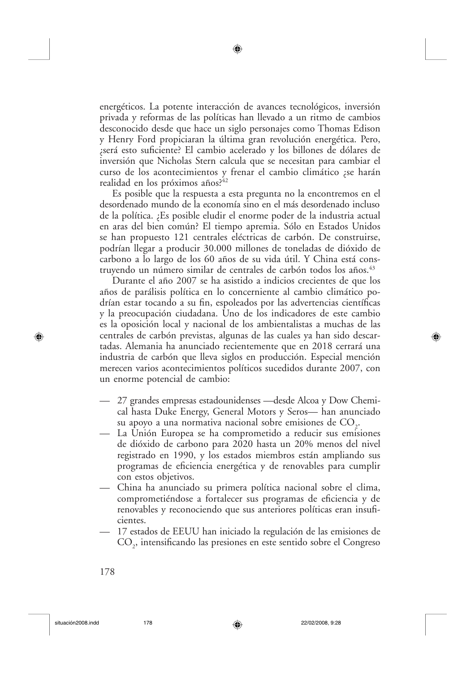energéticos. La potente interacción de avances tecnológicos, inversión privada y reformas de las políticas han llevado a un ritmo de cambios desconocido desde que hace un siglo personajes como Thomas Edison y Henry Ford propiciaran la última gran revolución energética. Pero, será esto suficiente? El cambio acelerado y los billones de dólares de inversión que Nicholas Stern calcula que se necesitan para cambiar el curso de los acontecimientos y frenar el cambio climático ¿se harán realidad en los próximos años?42

Es posible que la respuesta a esta pregunta no la encontremos en el desordenado mundo de la economía sino en el más desordenado incluso de la política. ¿Es posible eludir el enorme poder de la industria actual en aras del bien común? El tiempo apremia. Sólo en Estados Unidos se han propuesto 121 centrales eléctricas de carbón. De construirse, podrían llegar a producir 30.000 millones de toneladas de dióxido de carbono a lo largo de los 60 años de su vida útil. Y China está construyendo un número similar de centrales de carbón todos los años.<sup>43</sup>

Durante el año 2007 se ha asistido a indicios crecientes de que los años de parálisis política en lo concerniente al cambio climático podrían estar tocando a su fin, espoleados por las advertencias científicas y la preocupación ciudadana. Uno de los indicadores de este cambio es la oposición local y nacional de los ambientalistas a muchas de las centrales de carbón previstas, algunas de las cuales ya han sido descartadas. Alemania ha anunciado recientemente que en 2018 cerrará una industria de carbón que lleva siglos en producción. Especial mención merecen varios acontecimientos políticos sucedidos durante 2007, con un enorme potencial de cambio:

⊕

- 27 grandes empresas estadounidenses desde Alcoa y Dow Chemical hasta Duke Energy, General Motors y Seros— han anunciado su apoyo a una normativa nacional sobre emisiones de  $CO<sub>2</sub>$ .
- La Unión Europea se ha comprometido a reducir sus emisiones de dióxido de carbono para 2020 hasta un 20% menos del nivel registrado en 1990, y los estados miembros están ampliando sus programas de eficiencia energética y de renovables para cumplir con estos objetivos.
- China ha anunciado su primera política nacional sobre el clima, comprometiéndose a fortalecer sus programas de eficiencia y de renovables y reconociendo que sus anteriores políticas eran insuficientes.
- 17 estados de EEUU han iniciado la regulación de las emisiones de CO<sub>2</sub>, intensificando las presiones en este sentido sobre el Congreso

⊕

⊕

22/02/2008, 9:28